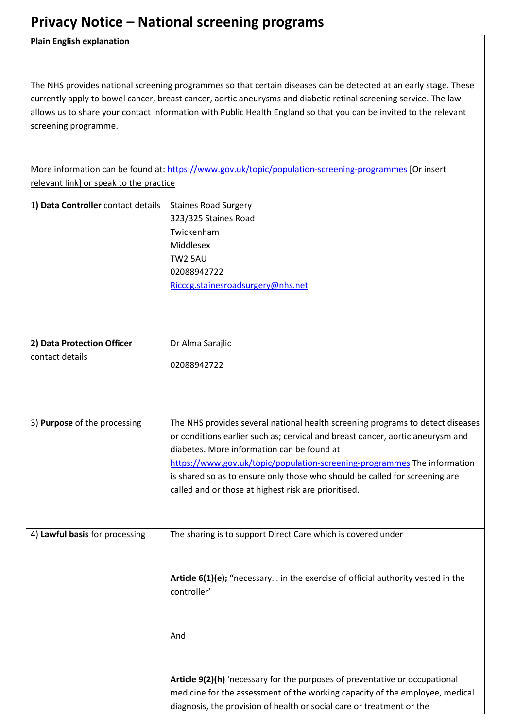## **Privacy Notice – National screening programs**

## **Plain English explanation**

The NHS provides national screening programmes so that certain diseases can be detected at an early stage. These currently apply to bowel cancer, breast cancer, aortic aneurysms and diabetic retinal screening service. The law allows us to share your contact information with Public Health England so that you can be invited to the relevant screening programme.

More information can be found at: https://www.gov.uk/topic/population-screening-programmes [Or insert relevant link] or speak to the practice

| 1) Data Controller contact details | <b>Staines Road Surgery</b>                                                     |
|------------------------------------|---------------------------------------------------------------------------------|
|                                    | 323/325 Staines Road                                                            |
|                                    | Twickenham                                                                      |
|                                    | Middlesex                                                                       |
|                                    | TW2 5AU                                                                         |
|                                    | 02088942722                                                                     |
|                                    | Ricccg.stainesroadsurgery@nhs.net                                               |
|                                    |                                                                                 |
|                                    |                                                                                 |
|                                    |                                                                                 |
| 2) Data Protection Officer         | Dr Alma Sarajlic                                                                |
| contact details                    |                                                                                 |
|                                    | 02088942722                                                                     |
|                                    |                                                                                 |
|                                    |                                                                                 |
|                                    |                                                                                 |
| 3) Purpose of the processing       | The NHS provides several national health screening programs to detect diseases  |
|                                    | or conditions earlier such as; cervical and breast cancer, aortic aneurysm and  |
|                                    | diabetes. More information can be found at                                      |
|                                    | https://www.gov.uk/topic/population-screening-programmes The information        |
|                                    | is shared so as to ensure only those who should be called for screening are     |
|                                    | called and or those at highest risk are prioritised.                            |
|                                    |                                                                                 |
|                                    |                                                                                 |
|                                    |                                                                                 |
| 4) Lawful basis for processing     | The sharing is to support Direct Care which is covered under                    |
|                                    |                                                                                 |
|                                    |                                                                                 |
|                                    | Article 6(1)(e); "necessary in the exercise of official authority vested in the |
|                                    | controller'                                                                     |
|                                    |                                                                                 |
|                                    |                                                                                 |
|                                    | And                                                                             |
|                                    |                                                                                 |
|                                    |                                                                                 |
|                                    | Article 9(2)(h) 'necessary for the purposes of preventative or occupational     |
|                                    | medicine for the assessment of the working capacity of the employee, medical    |
|                                    | diagnosis, the provision of health or social care or treatment or the           |
|                                    |                                                                                 |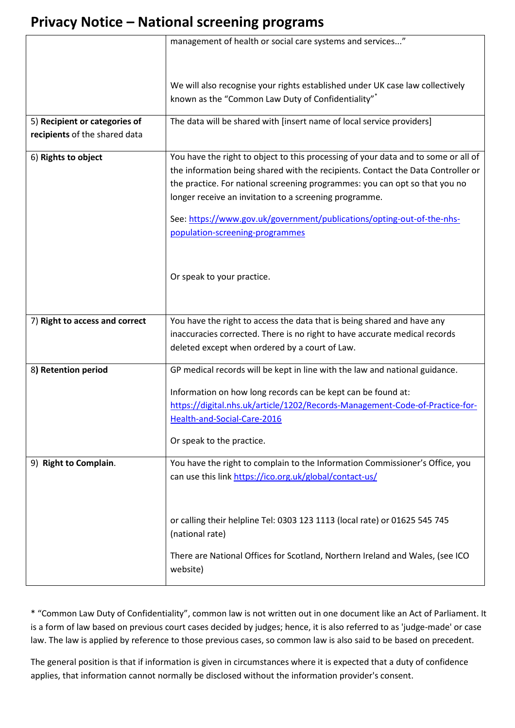## **Privacy Notice – National screening programs**

|                                | management of health or social care systems and services"                          |
|--------------------------------|------------------------------------------------------------------------------------|
|                                |                                                                                    |
|                                |                                                                                    |
|                                | We will also recognise your rights established under UK case law collectively      |
|                                | known as the "Common Law Duty of Confidentiality"*                                 |
| 5) Recipient or categories of  | The data will be shared with [insert name of local service providers]              |
| recipients of the shared data  |                                                                                    |
| 6) Rights to object            | You have the right to object to this processing of your data and to some or all of |
|                                | the information being shared with the recipients. Contact the Data Controller or   |
|                                | the practice. For national screening programmes: you can opt so that you no        |
|                                | longer receive an invitation to a screening programme.                             |
|                                | See: https://www.gov.uk/government/publications/opting-out-of-the-nhs-             |
|                                | population-screening-programmes                                                    |
|                                |                                                                                    |
|                                |                                                                                    |
|                                | Or speak to your practice.                                                         |
|                                |                                                                                    |
|                                |                                                                                    |
| 7) Right to access and correct | You have the right to access the data that is being shared and have any            |
|                                | inaccuracies corrected. There is no right to have accurate medical records         |
|                                | deleted except when ordered by a court of Law.                                     |
| 8) Retention period            | GP medical records will be kept in line with the law and national guidance.        |
|                                |                                                                                    |
|                                | Information on how long records can be kept can be found at:                       |
|                                | https://digital.nhs.uk/article/1202/Records-Management-Code-of-Practice-for-       |
|                                | Health-and-Social-Care-2016                                                        |
|                                | Or speak to the practice.                                                          |
| 9) Right to Complain.          | You have the right to complain to the Information Commissioner's Office, you       |
|                                | can use this link https://ico.org.uk/global/contact-us/                            |
|                                |                                                                                    |
|                                |                                                                                    |
|                                | or calling their helpline Tel: 0303 123 1113 (local rate) or 01625 545 745         |
|                                | (national rate)                                                                    |
|                                |                                                                                    |
|                                | There are National Offices for Scotland, Northern Ireland and Wales, (see ICO      |
|                                | website)                                                                           |

\* "Common Law Duty of Confidentiality", common law is not written out in one document like an Act of Parliament. It is a form of law based on previous court cases decided by judges; hence, it is also referred to as 'judge-made' or case law. The law is applied by reference to those previous cases, so common law is also said to be based on precedent.

The general position is that if information is given in circumstances where it is expected that a duty of confidence applies, that information cannot normally be disclosed without the information provider's consent.